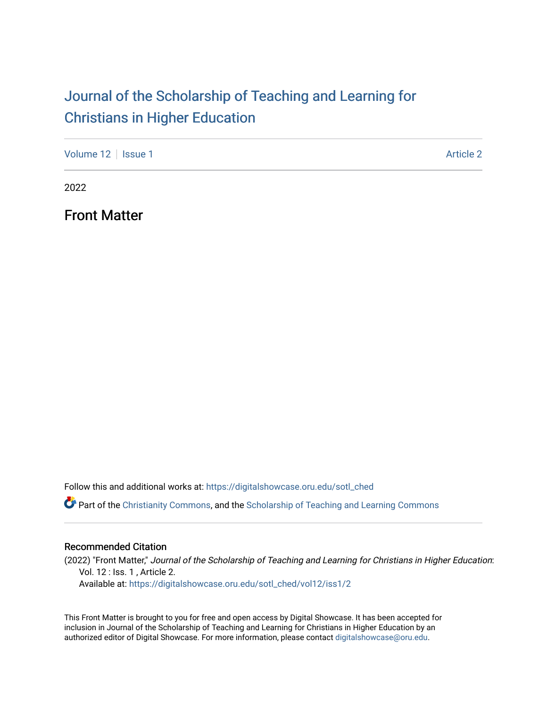### [Journal of the Scholarship of Teaching and Learning for](https://digitalshowcase.oru.edu/sotl_ched)  [Christians in Higher Education](https://digitalshowcase.oru.edu/sotl_ched)

[Volume 12](https://digitalshowcase.oru.edu/sotl_ched/vol12) | [Issue 1](https://digitalshowcase.oru.edu/sotl_ched/vol12/iss1) [Article 2](https://digitalshowcase.oru.edu/sotl_ched/vol12/iss1/2) | Article 2 | Article 2 | Article 2 | Article 2 | Article 2 | Article 2 | Article 2

2022

Front Matter

Follow this and additional works at: [https://digitalshowcase.oru.edu/sotl\\_ched](https://digitalshowcase.oru.edu/sotl_ched?utm_source=digitalshowcase.oru.edu%2Fsotl_ched%2Fvol12%2Fiss1%2F2&utm_medium=PDF&utm_campaign=PDFCoverPages) 

Part of the [Christianity Commons,](https://network.bepress.com/hgg/discipline/1181?utm_source=digitalshowcase.oru.edu%2Fsotl_ched%2Fvol12%2Fiss1%2F2&utm_medium=PDF&utm_campaign=PDFCoverPages) and the [Scholarship of Teaching and Learning Commons](https://network.bepress.com/hgg/discipline/1328?utm_source=digitalshowcase.oru.edu%2Fsotl_ched%2Fvol12%2Fiss1%2F2&utm_medium=PDF&utm_campaign=PDFCoverPages) 

#### Recommended Citation

(2022) "Front Matter," Journal of the Scholarship of Teaching and Learning for Christians in Higher Education: Vol. 12 : Iss. 1 , Article 2.

Available at: [https://digitalshowcase.oru.edu/sotl\\_ched/vol12/iss1/2](https://digitalshowcase.oru.edu/sotl_ched/vol12/iss1/2?utm_source=digitalshowcase.oru.edu%2Fsotl_ched%2Fvol12%2Fiss1%2F2&utm_medium=PDF&utm_campaign=PDFCoverPages) 

This Front Matter is brought to you for free and open access by Digital Showcase. It has been accepted for inclusion in Journal of the Scholarship of Teaching and Learning for Christians in Higher Education by an authorized editor of Digital Showcase. For more information, please contact [digitalshowcase@oru.edu.](mailto:digitalshowcase@oru.edu)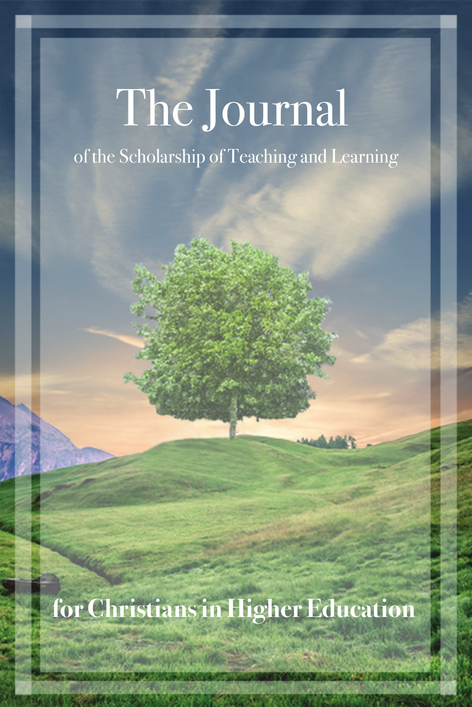# The Journal

of the Scholarship of Teaching and Learning

**for Christians in Higher Education**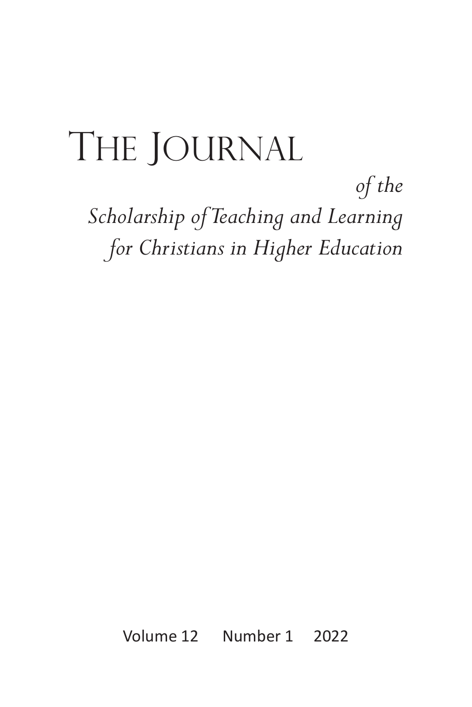## The Journal

*of the Scholarship of Teaching and Learning for Christians in Higher Education*

Volume 12 Number 1 2022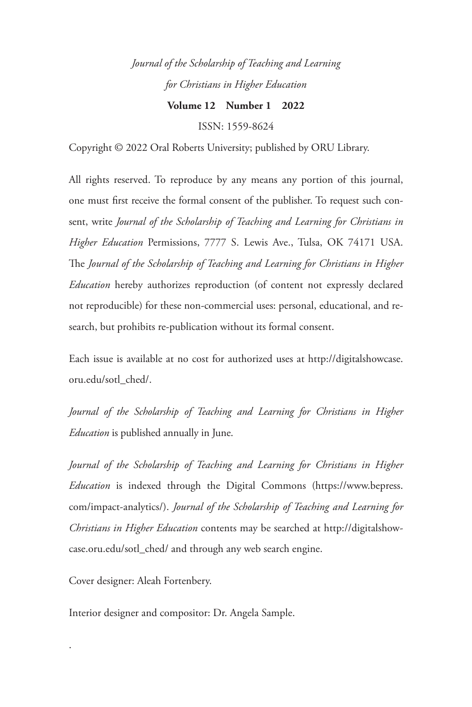*Journal of the Scholarship of Teaching and Learning for Christians in Higher Education*

**Volume 12 Number 1 2022**

ISSN: 1559-8624

Copyright © 2022 Oral Roberts University; published by ORU Library.

All rights reserved. To reproduce by any means any portion of this journal, one must first receive the formal consent of the publisher. To request such consent, write *Journal of the Scholarship of Teaching and Learning for Christians in Higher Education* Permissions, 7777 S. Lewis Ave., Tulsa, OK 74171 USA. The *Journal of the Scholarship of Teaching and Learning for Christians in Higher Education* hereby authorizes reproduction (of content not expressly declared not reproducible) for these non-commercial uses: personal, educational, and research, but prohibits re-publication without its formal consent.

Each issue is available at no cost for authorized uses at http://digitalshowcase. oru.edu/sotl\_ched/.

*Journal of the Scholarship of Teaching and Learning for Christians in Higher Education* is published annually in June.

*Journal of the Scholarship of Teaching and Learning for Christians in Higher Education* is indexed through the Digital Commons (https://www.bepress. com/impact-analytics/). *Journal of the Scholarship of Teaching and Learning for Christians in Higher Education* contents may be searched at http://digitalshowcase.oru.edu/sotl\_ched/ and through any web search engine.

Cover designer: Aleah Fortenbery.

.

Interior designer and compositor: Dr. Angela Sample.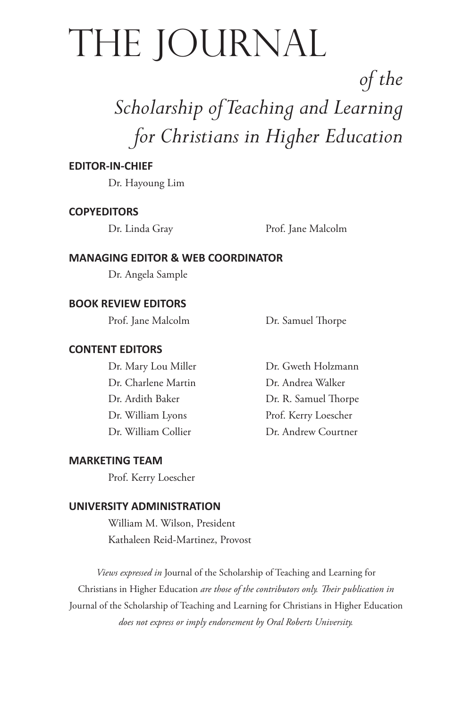## The Journal

### *of the Scholarship of Teaching and Learning for Christians in Higher Education*

#### **EDITOR-IN-CHIEF**

Dr. Hayoung Lim

#### **COPYEDITORS**

Dr. Linda Gray Prof. Jane Malcolm

#### **MANAGING EDITOR & WEB COORDINATOR**

Dr. Angela Sample

#### **BOOK REVIEW EDITORS**

Prof. Jane Malcolm Dr. Samuel Thorpe

#### **CONTENT EDITORS**

Dr. Charlene Martin Dr. Andrea Walker

Dr. Mary Lou Miller Dr. Gweth Holzmann Dr. Ardith Baker Dr. R. Samuel Thorpe Dr. William Lyons Prof. Kerry Loescher Dr. William Collier **Dr. Andrew Courtner** 

#### **MARKETING TEAM**

Prof. Kerry Loescher

#### **UNIVERSITY ADMINISTRATION**

William M. Wilson, President Kathaleen Reid-Martinez, Provost

*Views expressed in* Journal of the Scholarship of Teaching and Learning for Christians in Higher Education *are those of the contributors only. Their publication in*  Journal of the Scholarship of Teaching and Learning for Christians in Higher Education *does not express or imply endorsement by Oral Roberts University.*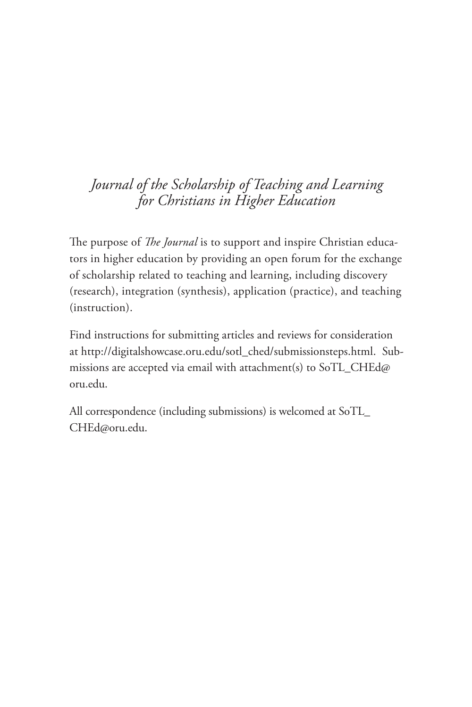#### *Journal of the Scholarship of Teaching and Learning for Christians in Higher Education*

The purpose of *The Journal* is to support and inspire Christian educators in higher education by providing an open forum for the exchange of scholarship related to teaching and learning, including discovery (research), integration (synthesis), application (practice), and teaching (instruction).

Find instructions for submitting articles and reviews for consideration at http://digitalshowcase.oru.edu/sotl\_ched/submissionsteps.html. Submissions are accepted via email with attachment(s) to SoTL\_CHEd@ oru.edu.

All correspondence (including submissions) is welcomed at SoTL\_ CHEd@oru.edu.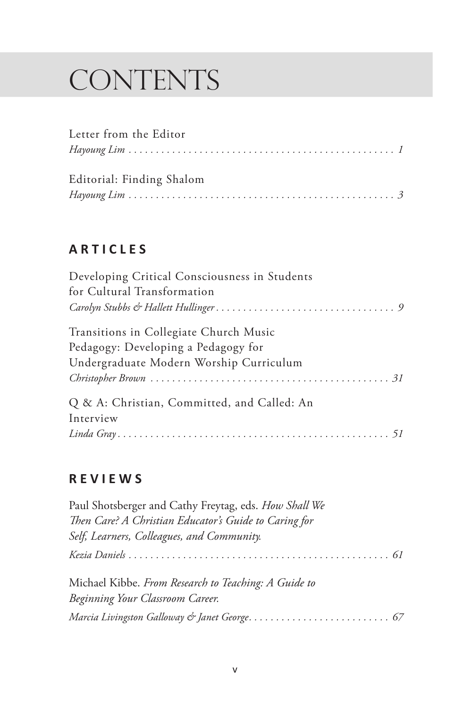## **CONTENTS**

| Letter from the Editor    |  |
|---------------------------|--|
|                           |  |
| Editorial: Finding Shalom |  |
|                           |  |

#### **A R T I C L E S**

| Developing Critical Consciousness in Students<br>for Cultural Transformation |
|------------------------------------------------------------------------------|
|                                                                              |
| Transitions in Collegiate Church Music                                       |
| Pedagogy: Developing a Pedagogy for                                          |
| Undergraduate Modern Worship Curriculum                                      |
|                                                                              |
| Q & A: Christian, Committed, and Called: An                                  |
| Interview                                                                    |
|                                                                              |

#### **R E V I E W S**

| Paul Shotsberger and Cathy Freytag, eds. How Shall We |  |
|-------------------------------------------------------|--|
| Then Care? A Christian Educator's Guide to Caring for |  |
| Self, Learners, Colleagues, and Community.            |  |
|                                                       |  |
| Michael Kibbe. From Research to Teaching: A Guide to  |  |
| Beginning Your Classroom Career.                      |  |
|                                                       |  |